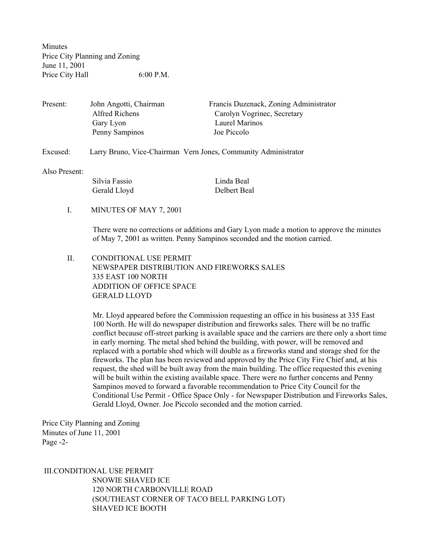Minutes Price City Planning and Zoning June 11, 2001 Price City Hall 6:00 P.M.

| John Angotti, Chairman | Francis Duzenack, Zoning Administrator |
|------------------------|----------------------------------------|
| Alfred Richens         | Carolyn Vogrinec, Secretary            |
| Gary Lyon              | Laurel Marinos                         |
| Penny Sampinos         | Joe Piccolo                            |
|                        |                                        |

#### Excused: Larry Bruno, Vice-Chairman Vern Jones, Community Administrator

#### Also Present:

 Silvia Fassio Linda Beal Gerald Lloyd Delbert Beal

### I. MINUTES OF MAY 7, 2001

There were no corrections or additions and Gary Lyon made a motion to approve the minutes of May 7, 2001 as written. Penny Sampinos seconded and the motion carried.

 II. CONDITIONAL USE PERMIT NEWSPAPER DISTRIBUTION AND FIREWORKS SALES 335 EAST 100 NORTH ADDITION OF OFFICE SPACE GERALD LLOYD

> Mr. Lloyd appeared before the Commission requesting an office in his business at 335 East 100 North. He will do newspaper distribution and fireworks sales. There will be no traffic conflict because off-street parking is available space and the carriers are there only a short time in early morning. The metal shed behind the building, with power, will be removed and replaced with a portable shed which will double as a fireworks stand and storage shed for the fireworks. The plan has been reviewed and approved by the Price City Fire Chief and, at his request, the shed will be built away from the main building. The office requested this evening will be built within the existing available space. There were no further concerns and Penny Sampinos moved to forward a favorable recommendation to Price City Council for the Conditional Use Permit - Office Space Only - for Newspaper Distribution and Fireworks Sales, Gerald Lloyd, Owner. Joe Piccolo seconded and the motion carried.

Price City Planning and Zoning Minutes of June 11, 2001 Page -2-

 III.CONDITIONAL USE PERMIT SNOWIE SHAVED ICE 120 NORTH CARBONVILLE ROAD (SOUTHEAST CORNER OF TACO BELL PARKING LOT) SHAVED ICE BOOTH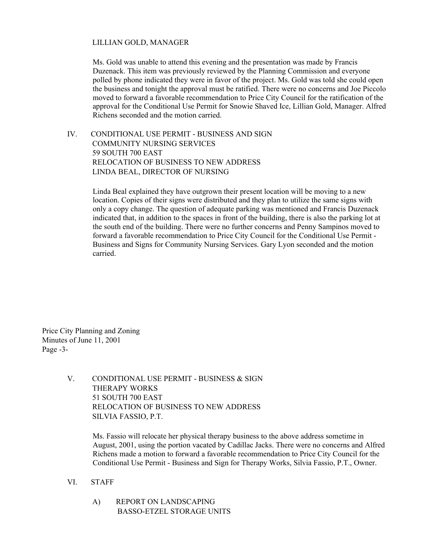# LILLIAN GOLD, MANAGER

Ms. Gold was unable to attend this evening and the presentation was made by Francis Duzenack. This item was previously reviewed by the Planning Commission and everyone polled by phone indicated they were in favor of the project. Ms. Gold was told she could open the business and tonight the approval must be ratified. There were no concerns and Joe Piccolo moved to forward a favorable recommendation to Price City Council for the ratification of the approval for the Conditional Use Permit for Snowie Shaved Ice, Lillian Gold, Manager. Alfred Richens seconded and the motion carried.

 IV. CONDITIONAL USE PERMIT - BUSINESS AND SIGN COMMUNITY NURSING SERVICES 59 SOUTH 700 EAST RELOCATION OF BUSINESS TO NEW ADDRESS LINDA BEAL, DIRECTOR OF NURSING

> Linda Beal explained they have outgrown their present location will be moving to a new location. Copies of their signs were distributed and they plan to utilize the same signs with only a copy change. The question of adequate parking was mentioned and Francis Duzenack indicated that, in addition to the spaces in front of the building, there is also the parking lot at the south end of the building. There were no further concerns and Penny Sampinos moved to forward a favorable recommendation to Price City Council for the Conditional Use Permit - Business and Signs for Community Nursing Services. Gary Lyon seconded and the motion carried.

Price City Planning and Zoning Minutes of June 11, 2001 Page -3-

> V. CONDITIONAL USE PERMIT - BUSINESS & SIGN THERAPY WORKS 51 SOUTH 700 EAST RELOCATION OF BUSINESS TO NEW ADDRESS SILVIA FASSIO, P.T.

> > Ms. Fassio will relocate her physical therapy business to the above address sometime in August, 2001, using the portion vacated by Cadillac Jacks. There were no concerns and Alfred Richens made a motion to forward a favorable recommendation to Price City Council for the Conditional Use Permit - Business and Sign for Therapy Works, Silvia Fassio, P.T., Owner.

- VI. STAFF
	- A) REPORT ON LANDSCAPING BASSO-ETZEL STORAGE UNITS